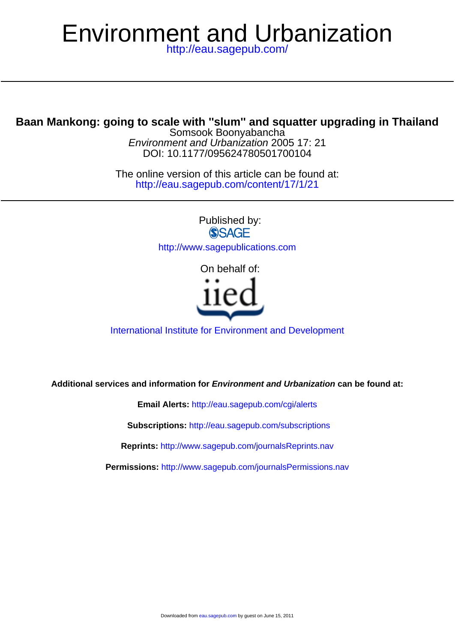# Environment and Urbanization

<http://eau.sagepub.com/>

### **Baan Mankong: going to scale with ''slum'' and squatter upgrading in Thailand**

DOI: 10.1177/095624780501700104 Environment and Urbanization 2005 17: 21 Somsook Boonyabancha

<http://eau.sagepub.com/content/17/1/21> The online version of this article can be found at:

> Published by:<br>
> SAGE <http://www.sagepublications.com>

> > On behalf of:



#### [International Institute for Environment and Development](http://www.iied.org/)

**Additional services and information for Environment and Urbanization can be found at:**

**Email Alerts:** <http://eau.sagepub.com/cgi/alerts>

**Subscriptions:** <http://eau.sagepub.com/subscriptions>

**Reprints:** <http://www.sagepub.com/journalsReprints.nav>

**Permissions:** <http://www.sagepub.com/journalsPermissions.nav>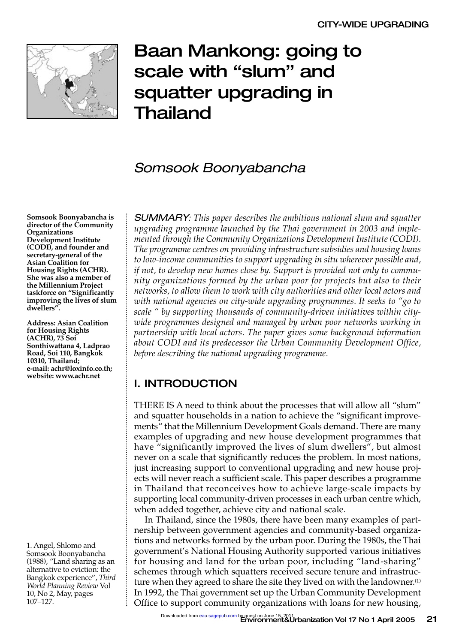

# Baan Mankong: going to scale with "slum" and squatter upgrading in Thailand

## Somsook Boonyabancha

**Somsook Boonyabancha is director of the Community Organizations Development Institute (CODI), and founder and secretary-general of the Asian Coalition for Housing Rights (ACHR). She was also a member of the Millennium Project taskforce on "Significantly improving the lives of slum dwellers".** 

**Address: Asian Coalition for Housing Rights (ACHR), 73 Soi Sonthiwattana 4, Ladprao Road, Soi 110, Bangkok 10310, Thailand; e-mail: achr@loxinfo.co.th; website: www.achr.net**

1. Angel, Shlomo and Somsook Boonyabancha (1988), "Land sharing as an alternative to eviction: the Bangkok experience", *Third World Planning Review* Vol 10, No 2, May, pages 107–127.

SUMMARY*: This paper describes the ambitious national slum and squatter upgrading programme launched by the Thai government in 2003 and implemented through the Community Organizations Development Institute (CODI). The programme centres on providing infrastructure subsidies and housing loans to low-income communities to support upgrading in situ wherever possible and, if not, to develop new homes close by. Support is provided not only to community organizations formed by the urban poor for projects but also to their networks, to allow them to work with city authorities and other local actors and with national agencies on city-wide upgrading programmes. It seeks to "go to scale " by supporting thousands of community-driven initiatives within citywide programmes designed and managed by urban poor networks working in partnership with local actors. The paper gives some background information about CODI and its predecessor the Urban Community Development Office, before describing the national upgrading programme.*

#### I. INTRODUCTION

THERE IS A need to think about the processes that will allow all "slum" and squatter households in a nation to achieve the "significant improvements" that the Millennium Development Goals demand. There are many examples of upgrading and new house development programmes that have "significantly improved the lives of slum dwellers", but almost never on a scale that significantly reduces the problem. In most nations, just increasing support to conventional upgrading and new house projects will never reach a sufficient scale. This paper describes a programme in Thailand that reconceives how to achieve large-scale impacts by supporting local community-driven processes in each urban centre which, when added together, achieve city and national scale.

In Thailand, since the 1980s, there have been many examples of partnership between government agencies and community-based organizations and networks formed by the urban poor. During the 1980s, the Thai government's National Housing Authority supported various initiatives for housing and land for the urban poor, including "land-sharing" schemes through which squatters received secure tenure and infrastructure when they agreed to share the site they lived on with the landowner.<sup>(1)</sup> In 1992, the Thai government set up the Urban Community Development Office to support community organizations with loans for new housing,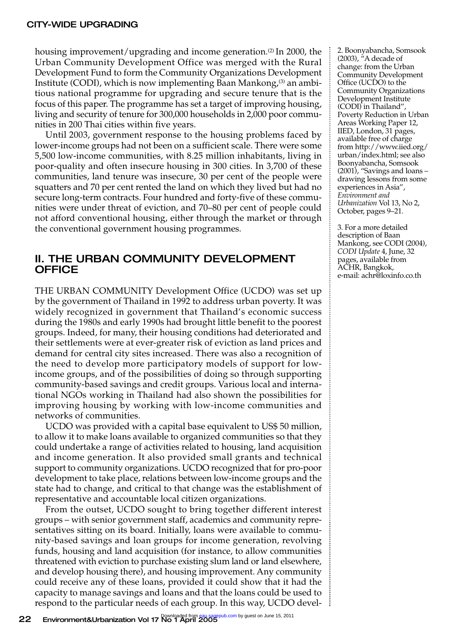housing improvement/upgrading and income generation.<sup>(2)</sup> In 2000, the Urban Community Development Office was merged with the Rural Development Fund to form the Community Organizations Development Institute (CODI), which is now implementing Baan Mankong,<sup>(3)</sup> an ambitious national programme for upgrading and secure tenure that is the focus of this paper. The programme has set a target of improving housing, living and security of tenure for 300,000 households in 2,000 poor communities in 200 Thai cities within five years.

Until 2003, government response to the housing problems faced by lower-income groups had not been on a sufficient scale. There were some 5,500 low-income communities, with 8.25 million inhabitants, living in poor-quality and often insecure housing in 300 cities. In 3,700 of these communities, land tenure was insecure, 30 per cent of the people were squatters and 70 per cent rented the land on which they lived but had no secure long-term contracts. Four hundred and forty-five of these communities were under threat of eviction, and 70–80 per cent of people could not afford conventional housing, either through the market or through the conventional government housing programmes.

#### II. THE URBAN COMMUNITY DEVELOPMENT **OFFICE**

THE URBAN COMMUNITY Development Office (UCDO) was set up by the government of Thailand in 1992 to address urban poverty. It was widely recognized in government that Thailand's economic success during the 1980s and early 1990s had brought little benefit to the poorest groups. Indeed, for many, their housing conditions had deteriorated and their settlements were at ever-greater risk of eviction as land prices and demand for central city sites increased. There was also a recognition of the need to develop more participatory models of support for lowincome groups, and of the possibilities of doing so through supporting community-based savings and credit groups. Various local and international NGOs working in Thailand had also shown the possibilities for improving housing by working with low-income communities and networks of communities.

UCDO was provided with a capital base equivalent to US\$ 50 million, to allow it to make loans available to organized communities so that they could undertake a range of activities related to housing, land acquisition and income generation. It also provided small grants and technical support to community organizations. UCDO recognized that for pro-poor development to take place, relations between low-income groups and the state had to change, and critical to that change was the establishment of representative and accountable local citizen organizations.

From the outset, UCDO sought to bring together different interest groups – with senior government staff, academics and community representatives sitting on its board. Initially, loans were available to community-based savings and loan groups for income generation, revolving funds, housing and land acquisition (for instance, to allow communities threatened with eviction to purchase existing slum land or land elsewhere, and develop housing there), and housing improvement. Any community could receive any of these loans, provided it could show that it had the capacity to manage savings and loans and that the loans could be used to respond to the particular needs of each group. In this way, UCDO devel-

2. Boonyabancha, Somsook (2003),  $h$ A decade of change: from the Urban Community Development Office (UCDO) to the Community Organizations Development Institute (CODI) in Thailand", Poverty Reduction in Urban Areas Working Paper 12, IIED, London, 31 pages, available free of charge from http://www.iied.org/ urban/index.html; see also Boonyabancha, Somsook  $(2001)$ , "Savings and loans – drawing lessons from some experiences in Asia", *Environment and Urbanization* Vol 13, No 2, October, pages 9–21.

3. For a more detailed description of Baan Mankong, see CODI (2004), *CODI Update* 4, June, 32 pages, available from ACHR, Bangkok, e-mail: achr@loxinfo.co.th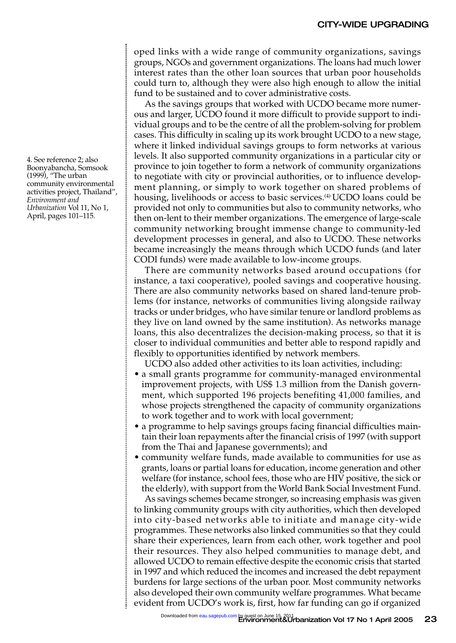oped links with a wide range of community organizations, savings groups, NGOs and government organizations. The loans had much lower interest rates than the other loan sources that urban poor households could turn to, although they were also high enough to allow the initial fund to be sustained and to cover administrative costs.

As the savings groups that worked with UCDO became more numerous and larger, UCDO found it more difficult to provide support to individual groups and to be the centre of all the problem-solving for problem cases. This difficulty in scaling up its work brought UCDO to a new stage, where it linked individual savings groups to form networks at various levels. It also supported community organizations in a particular city or province to join together to form a network of community organizations to negotiate with city or provincial authorities, or to influence development planning, or simply to work together on shared problems of housing, livelihoods or access to basic services.<sup>(4)</sup> UCDO loans could be provided not only to communities but also to community networks, who then on-lent to their member organizations. The emergence of large-scale community networking brought immense change to community-led development processes in general, and also to UCDO. These networks became increasingly the means through which UCDO funds (and later CODI funds) were made available to low-income groups.

There are community networks based around occupations (for instance, a taxi cooperative), pooled savings and cooperative housing. There are also community networks based on shared land-tenure problems (for instance, networks of communities living alongside railway tracks or under bridges, who have similar tenure or landlord problems as they live on land owned by the same institution). As networks manage loans, this also decentralizes the decision-making process, so that it is closer to individual communities and better able to respond rapidly and flexibly to opportunities identified by network members.

UCDO also added other activities to its loan activities, including:

- a small grants programme for community-managed environmental improvement projects, with US\$ 1.3 million from the Danish government, which supported 196 projects benefiting 41,000 families, and whose projects strengthened the capacity of community organizations to work together and to work with local government;
- a programme to help savings groups facing financial difficulties maintain their loan repayments after the financial crisis of 1997 (with support from the Thai and Japanese governments); and
- community welfare funds, made available to communities for use as grants, loans or partial loans for education, income generation and other welfare (for instance, school fees, those who are HIV positive, the sick or the elderly), with support from the World Bank Social Investment Fund.

As savings schemes became stronger, so increasing emphasis was given to linking community groups with city authorities, which then developed into city-based networks able to initiate and manage city-wide programmes. These networks also linked communities so that they could share their experiences, learn from each other, work together and pool their resources. They also helped communities to manage debt, and allowed UCDO to remain effective despite the economic crisis that started in 1997 and which reduced the incomes and increased the debt repayment burdens for large sections of the urban poor. Most community networks also developed their own community welfare programmes. What became evident from UCDO's work is, first, how far funding can go if organized

4. See reference 2; also Boonyabancha, Somsook (1999), "The urban community environmental activities project, Thailand", *Environment and Urbanization* Vol 11, No 1, April, pages 101–115.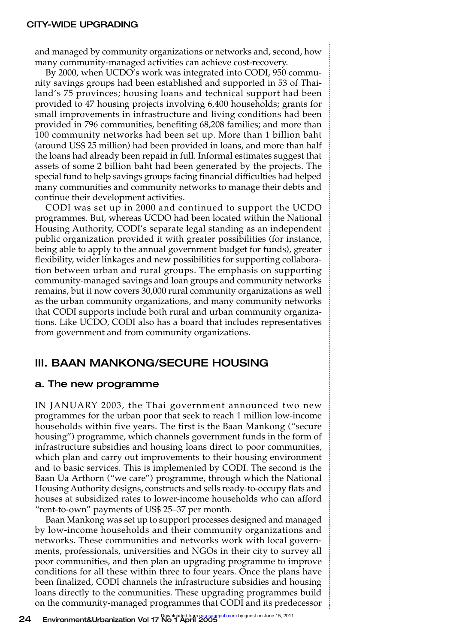and managed by community organizations or networks and, second, how many community-managed activities can achieve cost-recovery.

By 2000, when UCDO's work was integrated into CODI, 950 community savings groups had been established and supported in 53 of Thailand's 75 provinces; housing loans and technical support had been provided to 47 housing projects involving 6,400 households; grants for small improvements in infrastructure and living conditions had been provided in 796 communities, benefiting 68,208 families; and more than 100 community networks had been set up. More than 1 billion baht (around US\$ 25 million) had been provided in loans, and more than half the loans had already been repaid in full. Informal estimates suggest that assets of some 2 billion baht had been generated by the projects. The special fund to help savings groups facing financial difficulties had helped many communities and community networks to manage their debts and continue their development activities.

CODI was set up in 2000 and continued to support the UCDO programmes. But, whereas UCDO had been located within the National Housing Authority, CODI's separate legal standing as an independent public organization provided it with greater possibilities (for instance, being able to apply to the annual government budget for funds), greater flexibility, wider linkages and new possibilities for supporting collaboration between urban and rural groups. The emphasis on supporting community-managed savings and loan groups and community networks remains, but it now covers 30,000 rural community organizations as well as the urban community organizations, and many community networks that CODI supports include both rural and urban community organizations. Like UCDO, CODI also has a board that includes representatives from government and from community organizations.

#### III. BAAN MANKONG/SECURE HOUSING

#### a. The new programme

IN JANUARY 2003, the Thai government announced two new programmes for the urban poor that seek to reach 1 million low-income households within five years. The first is the Baan Mankong ("secure housing") programme, which channels government funds in the form of infrastructure subsidies and housing loans direct to poor communities, which plan and carry out improvements to their housing environment and to basic services. This is implemented by CODI. The second is the Baan Ua Arthorn ("we care") programme, through which the National Housing Authority designs, constructs and sells ready-to-occupy flats and houses at subsidized rates to lower-income households who can afford "rent-to-own" payments of US\$ 25–37 per month.

Baan Mankong was set up to support processes designed and managed by low-income households and their community organizations and networks. These communities and networks work with local governments, professionals, universities and NGOs in their city to survey all poor communities, and then plan an upgrading programme to improve conditions for all these within three to four years. Once the plans have been finalized, CODI channels the infrastructure subsidies and housing loans directly to the communities. These upgrading programmes build on the community-managed programmes that CODI and its predecessor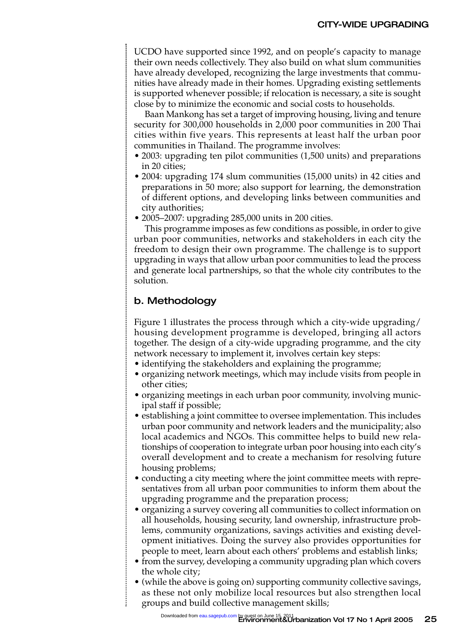UCDO have supported since 1992, and on people's capacity to manage their own needs collectively. They also build on what slum communities have already developed, recognizing the large investments that communities have already made in their homes. Upgrading existing settlements is supported whenever possible; if relocation is necessary, a site is sought close by to minimize the economic and social costs to households.

Baan Mankong has set a target of improving housing, living and tenure security for 300,000 households in 2,000 poor communities in 200 Thai cities within five years. This represents at least half the urban poor communities in Thailand. The programme involves:

- 2003: upgrading ten pilot communities (1,500 units) and preparations in 20 cities;
- 2004: upgrading 174 slum communities (15,000 units) in 42 cities and preparations in 50 more; also support for learning, the demonstration of different options, and developing links between communities and city authorities;
- 2005–2007: upgrading 285,000 units in 200 cities.

This programme imposes as few conditions as possible, in order to give urban poor communities, networks and stakeholders in each city the freedom to design their own programme. The challenge is to support upgrading in ways that allow urban poor communities to lead the process and generate local partnerships, so that the whole city contributes to the solution.

#### b. Methodology

Figure 1 illustrates the process through which a city-wide upgrading/ housing development programme is developed, bringing all actors together. The design of a city-wide upgrading programme, and the city network necessary to implement it, involves certain key steps:

- identifying the stakeholders and explaining the programme;
- organizing network meetings, which may include visits from people in other cities;
- organizing meetings in each urban poor community, involving municipal staff if possible;
- establishing a joint committee to oversee implementation. This includes urban poor community and network leaders and the municipality; also local academics and NGOs. This committee helps to build new relationships of cooperation to integrate urban poor housing into each city's overall development and to create a mechanism for resolving future housing problems;
- conducting a city meeting where the joint committee meets with representatives from all urban poor communities to inform them about the upgrading programme and the preparation process;
- organizing a survey covering all communities to collect information on all households, housing security, land ownership, infrastructure problems, community organizations, savings activities and existing development initiatives. Doing the survey also provides opportunities for people to meet, learn about each others' problems and establish links;
- from the survey, developing a community upgrading plan which covers the whole city;
- (while the above is going on) supporting community collective savings, as these not only mobilize local resources but also strengthen local groups and build collective management skills;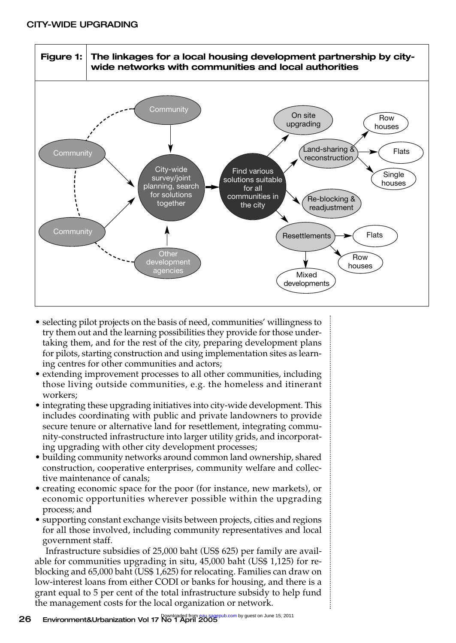

- selecting pilot projects on the basis of need, communities' willingness to try them out and the learning possibilities they provide for those undertaking them, and for the rest of the city, preparing development plans for pilots, starting construction and using implementation sites as learning centres for other communities and actors;
- extending improvement processes to all other communities, including those living outside communities, e.g. the homeless and itinerant workers;
- integrating these upgrading initiatives into city-wide development. This includes coordinating with public and private landowners to provide secure tenure or alternative land for resettlement, integrating community-constructed infrastructure into larger utility grids, and incorporating upgrading with other city development processes;
- building community networks around common land ownership, shared construction, cooperative enterprises, community welfare and collective maintenance of canals;
- creating economic space for the poor (for instance, new markets), or economic opportunities wherever possible within the upgrading process; and
- supporting constant exchange visits between projects, cities and regions for all those involved, including community representatives and local government staff.

Infrastructure subsidies of 25,000 baht (US\$ 625) per family are available for communities upgrading in situ, 45,000 baht (US\$ 1,125) for reblocking and 65,000 baht (US\$ 1,625) for relocating. Families can draw on low-interest loans from either CODI or banks for housing, and there is a grant equal to 5 per cent of the total infrastructure subsidy to help fund the management costs for the local organization or network.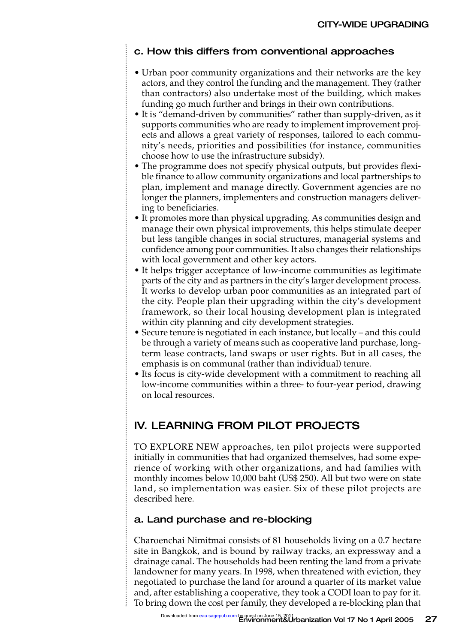#### c. How this differs from conventional approaches

- Urban poor community organizations and their networks are the key actors, and they control the funding and the management. They (rather than contractors) also undertake most of the building, which makes funding go much further and brings in their own contributions.
- It is "demand-driven by communities" rather than supply-driven, as it supports communities who are ready to implement improvement projects and allows a great variety of responses, tailored to each community's needs, priorities and possibilities (for instance, communities choose how to use the infrastructure subsidy).
- The programme does not specify physical outputs, but provides flexible finance to allow community organizations and local partnerships to plan, implement and manage directly. Government agencies are no longer the planners, implementers and construction managers delivering to beneficiaries.
- It promotes more than physical upgrading. As communities design and manage their own physical improvements, this helps stimulate deeper but less tangible changes in social structures, managerial systems and confidence among poor communities. It also changes their relationships with local government and other key actors.
- It helps trigger acceptance of low-income communities as legitimate parts of the city and as partners in the city's larger development process. It works to develop urban poor communities as an integrated part of the city. People plan their upgrading within the city's development framework, so their local housing development plan is integrated within city planning and city development strategies.
- Secure tenure is negotiated in each instance, but locally and this could be through a variety of means such as cooperative land purchase, longterm lease contracts, land swaps or user rights. But in all cases, the emphasis is on communal (rather than individual) tenure.
- Its focus is city-wide development with a commitment to reaching all low-income communities within a three- to four-year period, drawing on local resources.

#### IV. LEARNING FROM PILOT PROJECTS

TO EXPLORE NEW approaches, ten pilot projects were supported initially in communities that had organized themselves, had some experience of working with other organizations, and had families with monthly incomes below 10,000 baht (US\$ 250). All but two were on state land, so implementation was easier. Six of these pilot projects are described here.

#### a. Land purchase and re-blocking

Charoenchai Nimitmai consists of 81 households living on a 0.7 hectare site in Bangkok, and is bound by railway tracks, an expressway and a drainage canal. The households had been renting the land from a private landowner for many years. In 1998, when threatened with eviction, they negotiated to purchase the land for around a quarter of its market value and, after establishing a cooperative, they took a CODI loan to pay for it. To bring down the cost per family, they developed a re-blocking plan that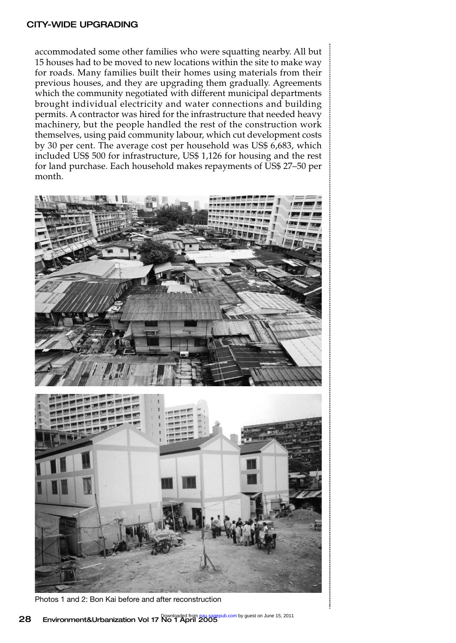#### CITY-WIDE UPGRADING

accommodated some other families who were squatting nearby. All but 15 houses had to be moved to new locations within the site to make way for roads. Many families built their homes using materials from their previous houses, and they are upgrading them gradually. Agreements which the community negotiated with different municipal departments brought individual electricity and water connections and building permits. A contractor was hired for the infrastructure that needed heavy machinery, but the people handled the rest of the construction work themselves, using paid community labour, which cut development costs by 30 per cent. The average cost per household was US\$ 6,683, which included US\$ 500 for infrastructure, US\$ 1,126 for housing and the rest for land purchase. Each household makes repayments of US\$ 27–50 per month.





Photos 1 and 2: Bon Kai before and after reconstruction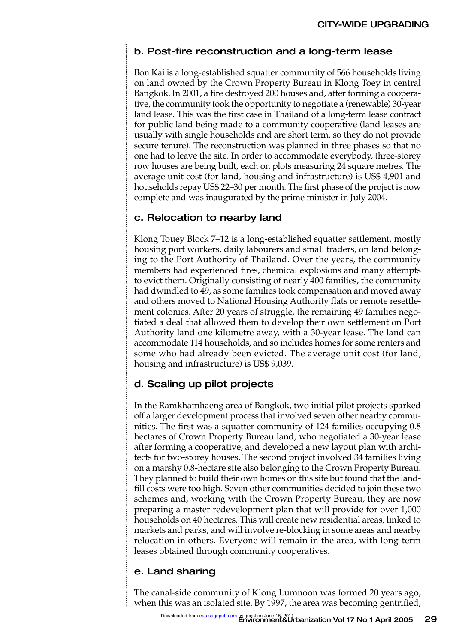#### b. Post-fire reconstruction and a long-term lease

Bon Kai is a long-established squatter community of 566 households living on land owned by the Crown Property Bureau in Klong Toey in central Bangkok. In 2001, a fire destroyed 200 houses and, after forming a cooperative, the community took the opportunity to negotiate a (renewable) 30-year land lease. This was the first case in Thailand of a long-term lease contract for public land being made to a community cooperative (land leases are usually with single households and are short term, so they do not provide secure tenure). The reconstruction was planned in three phases so that no one had to leave the site. In order to accommodate everybody, three-storey row houses are being built, each on plots measuring 24 square metres. The average unit cost (for land, housing and infrastructure) is US\$ 4,901 and households repay US\$ 22–30 per month. The first phase of the project is now complete and was inaugurated by the prime minister in July 2004.

#### c. Relocation to nearby land

Klong Touey Block 7–12 is a long-established squatter settlement, mostly housing port workers, daily labourers and small traders, on land belonging to the Port Authority of Thailand. Over the years, the community members had experienced fires, chemical explosions and many attempts to evict them. Originally consisting of nearly 400 families, the community had dwindled to 49, as some families took compensation and moved away and others moved to National Housing Authority flats or remote resettlement colonies. After 20 years of struggle, the remaining 49 families negotiated a deal that allowed them to develop their own settlement on Port Authority land one kilometre away, with a 30-year lease. The land can accommodate 114 households, and so includes homes for some renters and some who had already been evicted. The average unit cost (for land, housing and infrastructure) is US\$ 9,039.

#### d. Scaling up pilot projects

In the Ramkhamhaeng area of Bangkok, two initial pilot projects sparked off a larger development process that involved seven other nearby communities. The first was a squatter community of 124 families occupying 0.8 hectares of Crown Property Bureau land, who negotiated a 30-year lease after forming a cooperative, and developed a new layout plan with architects for two-storey houses. The second project involved 34 families living on a marshy 0.8-hectare site also belonging to the Crown Property Bureau. They planned to build their own homes on this site but found that the landfill costs were too high. Seven other communities decided to join these two schemes and, working with the Crown Property Bureau, they are now preparing a master redevelopment plan that will provide for over 1,000 households on 40 hectares. This will create new residential areas, linked to markets and parks, and will involve re-blocking in some areas and nearby relocation in others. Everyone will remain in the area, with long-term leases obtained through community cooperatives.

#### e. Land sharing

The canal-side community of Klong Lumnoon was formed 20 years ago, when this was an isolated site. By 1997, the area was becoming gentrified,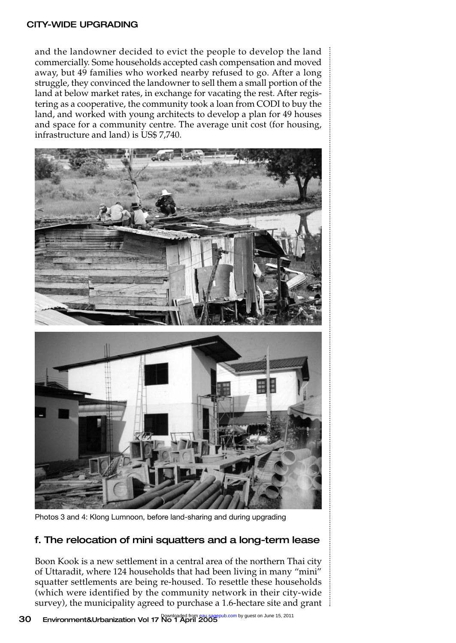#### CITY-WIDE UPGRADING

and the landowner decided to evict the people to develop the land commercially. Some households accepted cash compensation and moved away, but 49 families who worked nearby refused to go. After a long struggle, they convinced the landowner to sell them a small portion of the land at below market rates, in exchange for vacating the rest. After registering as a cooperative, the community took a loan from CODI to buy the land, and worked with young architects to develop a plan for 49 houses and space for a community centre. The average unit cost (for housing, infrastructure and land) is US\$ 7,740.





Photos 3 and 4: Klong Lumnoon, before land-sharing and during upgrading

#### f. The relocation of mini squatters and a long-term lease

Boon Kook is a new settlement in a central area of the northern Thai city of Uttaradit, where 124 households that had been living in many "mini" squatter settlements are being re-housed. To resettle these households (which were identified by the community network in their city-wide survey), the municipality agreed to purchase a 1.6-hectare site and grant is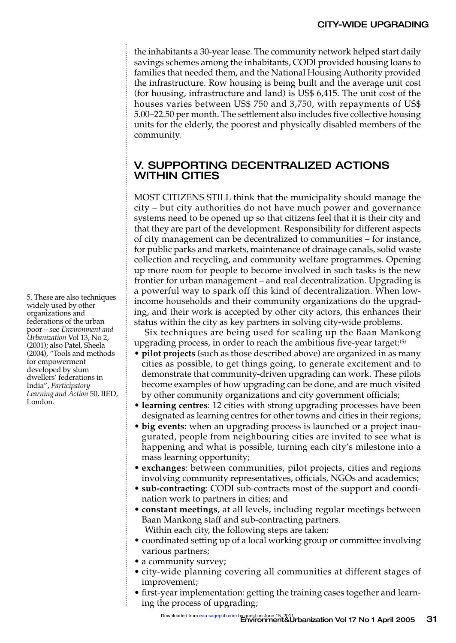the inhabitants a 30-year lease. The community network helped start daily savings schemes among the inhabitants, CODI provided housing loans to families that needed them, and the National Housing Authority provided the infrastructure. Row housing is being built and the average unit cost (for housing, infrastructure and land) is US\$ 6,415. The unit cost of the houses varies between US\$ 750 and 3,750, with repayments of US\$ 5.00–22.50 per month. The settlement also includes five collective housing units for the elderly, the poorest and physically disabled members of the community.

#### V. SUPPORTING DECENTRALIZED ACTIONS WITHIN CITIES

MOST CITIZENS STILL think that the municipality should manage the city – but city authorities do not have much power and governance systems need to be opened up so that citizens feel that it is their city and that they are part of the development. Responsibility for different aspects of city management can be decentralized to communities – for instance, for public parks and markets, maintenance of drainage canals, solid waste collection and recycling, and community welfare programmes. Opening up more room for people to become involved in such tasks is the new frontier for urban management – and real decentralization. Upgrading is a powerful way to spark off this kind of decentralization. When lowincome households and their community organizations do the upgrading, and their work is accepted by other city actors, this enhances their status within the city as key partners in solving city-wide problems.

Six techniques are being used for scaling up the Baan Mankong upgrading process, in order to reach the ambitious five-year target:<sup>(5)</sup>

- **pilot projects** (such as those described above) are organized in as many cities as possible, to get things going, to generate excitement and to demonstrate that community-driven upgrading can work. These pilots become examples of how upgrading can be done, and are much visited by other community organizations and city government officials;
- **learning centres**: 12 cities with strong upgrading processes have been designated as learning centres for other towns and cities in their regions;
- **big events**: when an upgrading process is launched or a project inaugurated, people from neighbouring cities are invited to see what is happening and what is possible, turning each city's milestone into a mass learning opportunity;
- **exchanges**: between communities, pilot projects, cities and regions involving community representatives, officials, NGOs and academics;
- **sub-contracting**: CODI sub-contracts most of the support and coordination work to partners in cities; and
- **constant meetings**, at all levels, including regular meetings between Baan Mankong staff and sub-contracting partners. Within each city, the following steps are taken:
- coordinated setting up of a local working group or committee involving various partners;
- a community survey;
- city-wide planning covering all communities at different stages of improvement;
- first-year implementation: getting the training cases together and learning the process of upgrading;

5. These are also techniques widely used by other organizations and federations of the urban poor – see *Environment and Urbanization* Vol 13, No 2, (2001); also Patel, Sheela (2004), "Tools and methods for empowerment developed by slum dwellers' federations in India", *Participatory Learning and Action* 50, IIED, London.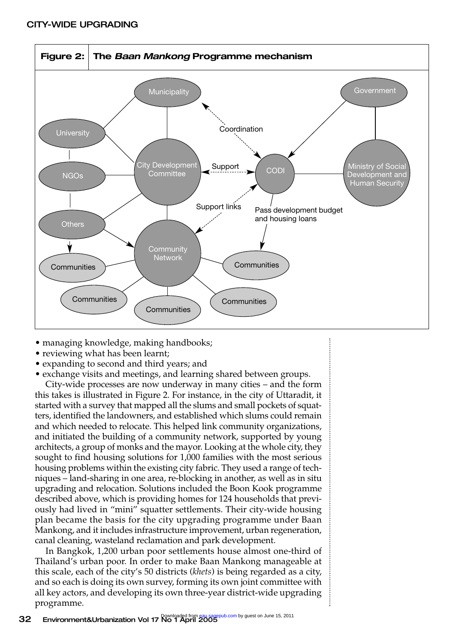

- managing knowledge, making handbooks;
- reviewing what has been learnt;
- expanding to second and third years; and
- exchange visits and meetings, and learning shared between groups.

City-wide processes are now underway in many cities – and the form this takes is illustrated in Figure 2. For instance, in the city of Uttaradit, it started with a survey that mapped all the slums and small pockets of squatters, identified the landowners, and established which slums could remain and which needed to relocate. This helped link community organizations, and initiated the building of a community network, supported by young architects, a group of monks and the mayor. Looking at the whole city, they sought to find housing solutions for 1,000 families with the most serious housing problems within the existing city fabric. They used a range of techniques – land-sharing in one area, re-blocking in another, as well as in situ upgrading and relocation. Solutions included the Boon Kook programme described above, which is providing homes for 124 households that previously had lived in "mini" squatter settlements. Their city-wide housing plan became the basis for the city upgrading programme under Baan Mankong, and it includes infrastructure improvement, urban regeneration, canal cleaning, wasteland reclamation and park development.

In Bangkok, 1,200 urban poor settlements house almost one-third of Thailand's urban poor. In order to make Baan Mankong manageable at this scale, each of the city's 50 districts (*khets*) is being regarded as a city, and so each is doing its own survey, forming its own joint committee with all key actors, and developing its own three-year district-wide upgrading programme.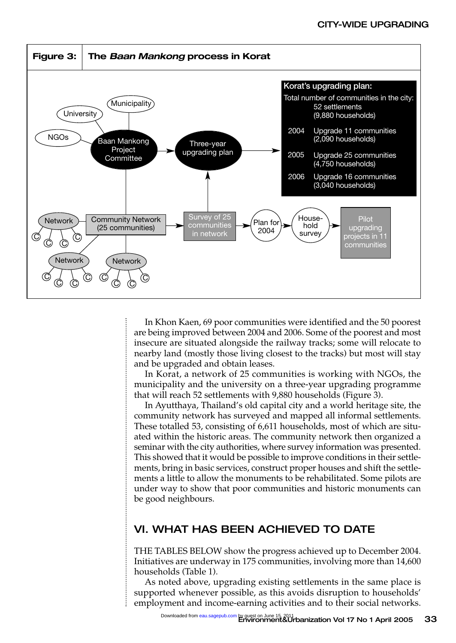

In Khon Kaen, 69 poor communities were identified and the 50 poorest are being improved between 2004 and 2006. Some of the poorest and most insecure are situated alongside the railway tracks; some will relocate to nearby land (mostly those living closest to the tracks) but most will stay and be upgraded and obtain leases.

In Korat, a network of 25 communities is working with NGOs, the municipality and the university on a three-year upgrading programme that will reach 52 settlements with 9,880 households (Figure 3).

In Ayutthaya, Thailand's old capital city and a world heritage site, the community network has surveyed and mapped all informal settlements. These totalled 53, consisting of 6,611 households, most of which are situated within the historic areas. The community network then organized a seminar with the city authorities, where survey information was presented. This showed that it would be possible to improve conditions in their settlements, bring in basic services, construct proper houses and shift the settlements a little to allow the monuments to be rehabilitated. Some pilots are under way to show that poor communities and historic monuments can be good neighbours.

#### VI. WHAT HAS BEEN ACHIEVED TO DATE

THE TABLES BELOW show the progress achieved up to December 2004. Initiatives are underway in 175 communities, involving more than 14,600 households (Table 1).

As noted above, upgrading existing settlements in the same place is supported whenever possible, as this avoids disruption to households' employment and income-earning activities and to their social networks.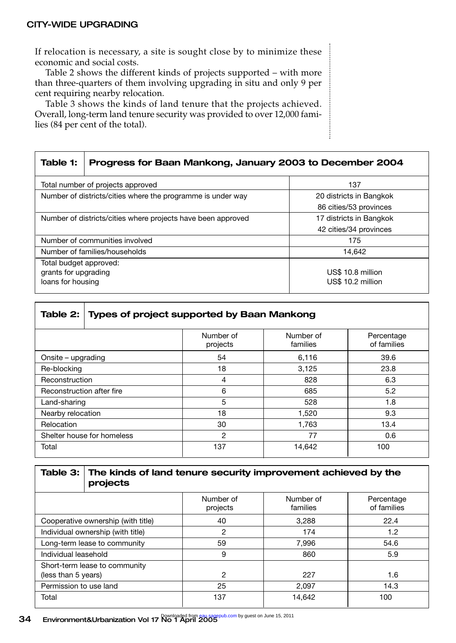If relocation is necessary, a site is sought close by to minimize these economic and social costs.

Table 2 shows the different kinds of projects supported – with more than three-quarters of them involving upgrading in situ and only 9 per cent requiring nearby relocation.

Table 3 shows the kinds of land tenure that the projects achieved. Overall, long-term land tenure security was provided to over 12,000 families (84 per cent of the total).

| Table 1:                                                     | Progress for Baan Mankong, January 2003 to December 2004 |                         |  |  |  |
|--------------------------------------------------------------|----------------------------------------------------------|-------------------------|--|--|--|
|                                                              | Total number of projects approved                        | 137                     |  |  |  |
| Number of districts/cities where the programme is under way  |                                                          | 20 districts in Bangkok |  |  |  |
|                                                              |                                                          | 86 cities/53 provinces  |  |  |  |
| Number of districts/cities where projects have been approved |                                                          | 17 districts in Bangkok |  |  |  |
|                                                              |                                                          | 42 cities/34 provinces  |  |  |  |
| Number of communities involved                               |                                                          | 175                     |  |  |  |
| Number of families/households                                |                                                          | 14.642                  |  |  |  |
| Total budget approved:                                       |                                                          |                         |  |  |  |
| grants for upgrading                                         |                                                          | US\$ 10.8 million       |  |  |  |
| loans for housing                                            |                                                          | US\$ 10.2 million       |  |  |  |

|                            | Table 2: Types of project supported by Baan Mankong |                       |                           |  |  |  |
|----------------------------|-----------------------------------------------------|-----------------------|---------------------------|--|--|--|
|                            | Number of<br>projects                               | Number of<br>families | Percentage<br>of families |  |  |  |
| Onsite – upgrading         | 54                                                  | 6.116                 | 39.6                      |  |  |  |
| Re-blocking                | 18                                                  | 3,125                 | 23.8                      |  |  |  |
| Reconstruction             | 4                                                   | 828                   | 6.3                       |  |  |  |
| Reconstruction after fire  | 6                                                   | 685                   | 5.2                       |  |  |  |
| Land-sharing               | 5                                                   | 528                   | 1.8                       |  |  |  |
| Nearby relocation          | 18                                                  | 1,520                 | 9.3                       |  |  |  |
| Relocation                 | 30                                                  | 1,763                 | 13.4                      |  |  |  |
| Shelter house for homeless | 2                                                   | 77                    | 0.6                       |  |  |  |
| Total                      | 137                                                 | 14,642                | 100                       |  |  |  |

|                                                      | Table 3: The kinds of land tenure security improvement achieved by the<br>projects |                       |                       |                           |  |
|------------------------------------------------------|------------------------------------------------------------------------------------|-----------------------|-----------------------|---------------------------|--|
|                                                      |                                                                                    | Number of<br>projects | Number of<br>families | Percentage<br>of families |  |
| Cooperative ownership (with title)                   |                                                                                    | 40                    | 3.288                 | 22.4                      |  |
| Individual ownership (with title)                    |                                                                                    | 2                     | 174                   | 1.2                       |  |
| Long-term lease to community                         |                                                                                    | 59                    | 7.996                 | 54.6                      |  |
| Individual leasehold                                 |                                                                                    | 9                     | 860                   | 5.9                       |  |
| Short-term lease to community<br>(less than 5 years) |                                                                                    | $\overline{2}$        | 227                   | 1.6                       |  |
| Permission to use land                               |                                                                                    | 25                    | 2.097                 | 14.3                      |  |
| Total                                                |                                                                                    | 137                   | 14.642                | 100                       |  |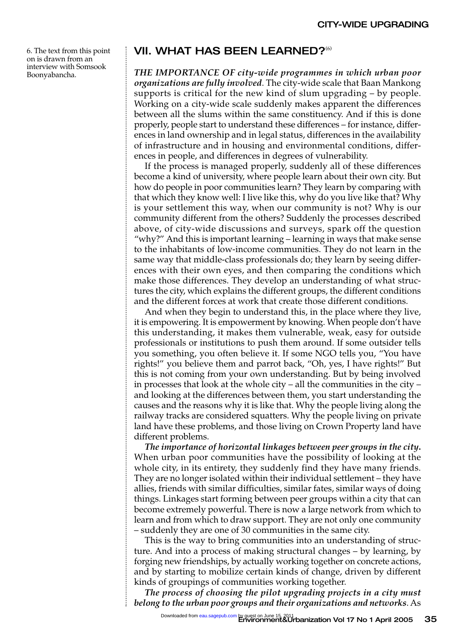6. The text from this point on is drawn from an interview with Somsook Boonyabancha.

#### VII. WHAT HAS BEEN LEARNED?<sup>(6)</sup>

*THE IMPORTANCE OF city-wide programmes in which urban poor organizations are fully involved*. The city-wide scale that Baan Mankong supports is critical for the new kind of slum upgrading – by people. Working on a city-wide scale suddenly makes apparent the differences between all the slums within the same constituency. And if this is done properly, people start to understand these differences – for instance, differences in land ownership and in legal status, differences in the availability of infrastructure and in housing and environmental conditions, differences in people, and differences in degrees of vulnerability.

If the process is managed properly, suddenly all of these differences become a kind of university, where people learn about their own city. But how do people in poor communities learn? They learn by comparing with that which they know well: I live like this, why do you live like that? Why is your settlement this way, when our community is not? Why is our community different from the others? Suddenly the processes described above, of city-wide discussions and surveys, spark off the question "why?" And this is important learning – learning in ways that make sense to the inhabitants of low-income communities. They do not learn in the same way that middle-class professionals do; they learn by seeing differences with their own eyes, and then comparing the conditions which make those differences. They develop an understanding of what structures the city, which explains the different groups, the different conditions and the different forces at work that create those different conditions.

And when they begin to understand this, in the place where they live, it is empowering. It is empowerment by knowing. When people don't have this understanding, it makes them vulnerable, weak, easy for outside professionals or institutions to push them around. If some outsider tells you something, you often believe it. If some NGO tells you, "You have rights!" you believe them and parrot back, "Oh, yes, I have rights!" But this is not coming from your own understanding. But by being involved in processes that look at the whole city – all the communities in the city – and looking at the differences between them, you start understanding the causes and the reasons why it is like that. Why the people living along the railway tracks are considered squatters. Why the people living on private land have these problems, and those living on Crown Property land have different problems.

*The importance of horizontal linkages between peer groups in the city***.** When urban poor communities have the possibility of looking at the whole city, in its entirety, they suddenly find they have many friends. They are no longer isolated within their individual settlement – they have allies, friends with similar difficulties, similar fates, similar ways of doing things. Linkages start forming between peer groups within a city that can become extremely powerful. There is now a large network from which to learn and from which to draw support. They are not only one community – suddenly they are one of 30 communities in the same city.

This is the way to bring communities into an understanding of structure. And into a process of making structural changes – by learning, by forging new friendships, by actually working together on concrete actions, and by starting to mobilize certain kinds of change, driven by different kinds of groupings of communities working together.

*The process of choosing the pilot upgrading projects in a city must belong to the urban poor groups and their organizations and networks*. As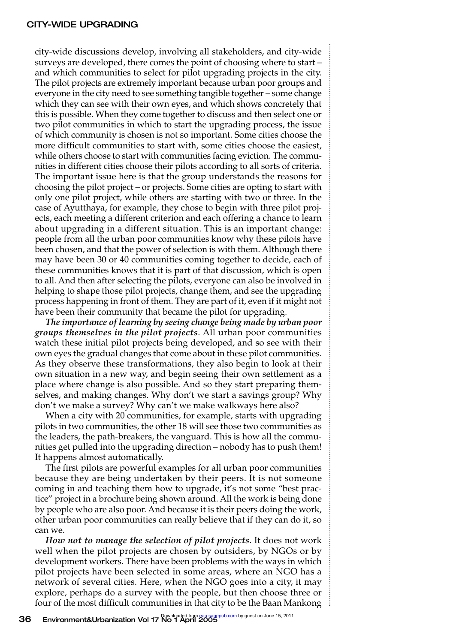#### CITY-WIDE UPGRADING

city-wide discussions develop, involving all stakeholders, and city-wide surveys are developed, there comes the point of choosing where to start – and which communities to select for pilot upgrading projects in the city. The pilot projects are extremely important because urban poor groups and everyone in the city need to see something tangible together – some change which they can see with their own eyes, and which shows concretely that this is possible. When they come together to discuss and then select one or two pilot communities in which to start the upgrading process, the issue of which community is chosen is not so important. Some cities choose the more difficult communities to start with, some cities choose the easiest, while others choose to start with communities facing eviction. The communities in different cities choose their pilots according to all sorts of criteria. The important issue here is that the group understands the reasons for choosing the pilot project – or projects. Some cities are opting to start with only one pilot project, while others are starting with two or three. In the case of Ayutthaya, for example, they chose to begin with three pilot projects, each meeting a different criterion and each offering a chance to learn about upgrading in a different situation. This is an important change: people from all the urban poor communities know why these pilots have been chosen, and that the power of selection is with them. Although there may have been 30 or 40 communities coming together to decide, each of these communities knows that it is part of that discussion, which is open to all. And then after selecting the pilots, everyone can also be involved in helping to shape those pilot projects, change them, and see the upgrading process happening in front of them. They are part of it, even if it might not have been their community that became the pilot for upgrading.

*The importance of learning by seeing change being made by urban poor groups themselves in the pilot projects*. All urban poor communities watch these initial pilot projects being developed, and so see with their own eyes the gradual changes that come about in these pilot communities. As they observe these transformations, they also begin to look at their own situation in a new way, and begin seeing their own settlement as a place where change is also possible. And so they start preparing themselves, and making changes. Why don't we start a savings group? Why don't we make a survey? Why can't we make walkways here also?

When a city with 20 communities, for example, starts with upgrading pilots in two communities, the other 18 will see those two communities as the leaders, the path-breakers, the vanguard. This is how all the communities get pulled into the upgrading direction – nobody has to push them! It happens almost automatically.

The first pilots are powerful examples for all urban poor communities because they are being undertaken by their peers. It is not someone coming in and teaching them how to upgrade, it's not some "best practice" project in a brochure being shown around. All the work is being done by people who are also poor. And because it is their peers doing the work, other urban poor communities can really believe that if they can do it, so can we.

*How not to manage the selection of pilot projects*. It does not work well when the pilot projects are chosen by outsiders, by NGOs or by development workers. There have been problems with the ways in which pilot projects have been selected in some areas, where an NGO has a network of several cities. Here, when the NGO goes into a city, it may explore, perhaps do a survey with the people, but then choose three or four of the most difficult communities in that city to be the Baan Mankong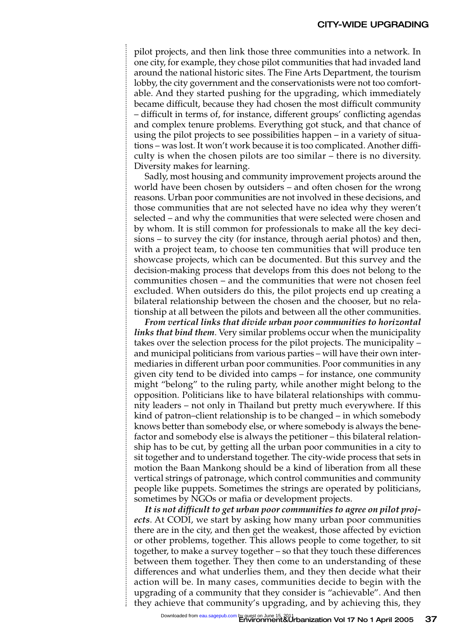pilot projects, and then link those three communities into a network. In one city, for example, they chose pilot communities that had invaded land around the national historic sites. The Fine Arts Department, the tourism lobby, the city government and the conservationists were not too comfortable. And they started pushing for the upgrading, which immediately became difficult, because they had chosen the most difficult community – difficult in terms of, for instance, different groups' conflicting agendas and complex tenure problems. Everything got stuck, and that chance of using the pilot projects to see possibilities happen – in a variety of situations – was lost. It won't work because it is too complicated. Another difficulty is when the chosen pilots are too similar – there is no diversity. Diversity makes for learning.

Sadly, most housing and community improvement projects around the world have been chosen by outsiders – and often chosen for the wrong reasons. Urban poor communities are not involved in these decisions, and those communities that are not selected have no idea why they weren't selected – and why the communities that were selected were chosen and by whom. It is still common for professionals to make all the key decisions – to survey the city (for instance, through aerial photos) and then, with a project team, to choose ten communities that will produce ten showcase projects, which can be documented. But this survey and the decision-making process that develops from this does not belong to the communities chosen – and the communities that were not chosen feel excluded. When outsiders do this, the pilot projects end up creating a bilateral relationship between the chosen and the chooser, but no relationship at all between the pilots and between all the other communities.

*From vertical links that divide urban poor communities to horizontal links that bind them*. Very similar problems occur when the municipality takes over the selection process for the pilot projects. The municipality – and municipal politicians from various parties – will have their own intermediaries in different urban poor communities. Poor communities in any given city tend to be divided into camps – for instance, one community might "belong" to the ruling party, while another might belong to the opposition. Politicians like to have bilateral relationships with community leaders – not only in Thailand but pretty much everywhere. If this kind of patron–client relationship is to be changed – in which somebody knows better than somebody else, or where somebody is always the benefactor and somebody else is always the petitioner – this bilateral relationship has to be cut, by getting all the urban poor communities in a city to sit together and to understand together. The city-wide process that sets in motion the Baan Mankong should be a kind of liberation from all these vertical strings of patronage, which control communities and community people like puppets. Sometimes the strings are operated by politicians, sometimes by NGOs or mafia or development projects.

*It is not difficult to get urban poor communities to agree on pilot projects*. At CODI, we start by asking how many urban poor communities there are in the city, and then get the weakest, those affected by eviction or other problems, together. This allows people to come together, to sit together, to make a survey together – so that they touch these differences between them together. They then come to an understanding of these differences and what underlies them, and they then decide what their action will be. In many cases, communities decide to begin with the upgrading of a community that they consider is "achievable". And then they achieve that community's upgrading, and by achieving this, they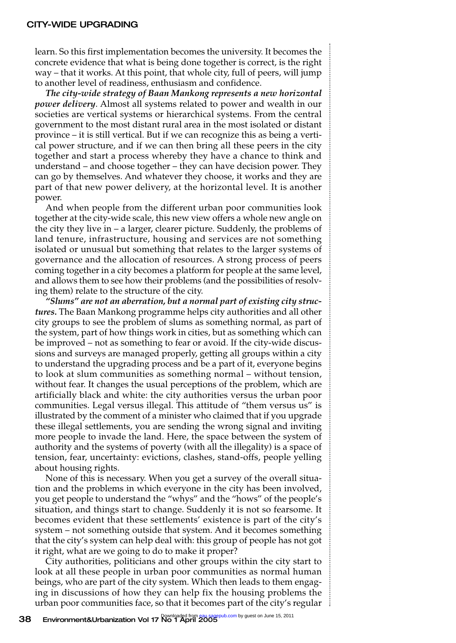#### CITY-WIDE UPGRADING

learn. So this first implementation becomes the university. It becomes the concrete evidence that what is being done together is correct, is the right way – that it works. At this point, that whole city, full of peers, will jump to another level of readiness, enthusiasm and confidence.

*The city-wide strategy of Baan Mankong represents a new horizontal power delivery*. Almost all systems related to power and wealth in our societies are vertical systems or hierarchical systems. From the central government to the most distant rural area in the most isolated or distant province – it is still vertical. But if we can recognize this as being a vertical power structure, and if we can then bring all these peers in the city together and start a process whereby they have a chance to think and understand – and choose together – they can have decision power. They can go by themselves. And whatever they choose, it works and they are part of that new power delivery, at the horizontal level. It is another power.

And when people from the different urban poor communities look together at the city-wide scale, this new view offers a whole new angle on the city they live in – a larger, clearer picture. Suddenly, the problems of land tenure, infrastructure, housing and services are not something isolated or unusual but something that relates to the larger systems of governance and the allocation of resources. A strong process of peers coming together in a city becomes a platform for people at the same level, and allows them to see how their problems (and the possibilities of resolving them) relate to the structure of the city.

*"Slums" are not an aberration, but a normal part of existing city structures.* The Baan Mankong programme helps city authorities and all other city groups to see the problem of slums as something normal, as part of the system, part of how things work in cities, but as something which can be improved – not as something to fear or avoid. If the city-wide discussions and surveys are managed properly, getting all groups within a city to understand the upgrading process and be a part of it, everyone begins to look at slum communities as something normal – without tension, without fear. It changes the usual perceptions of the problem, which are artificially black and white: the city authorities versus the urban poor communities. Legal versus illegal. This attitude of "them versus us" is illustrated by the comment of a minister who claimed that if you upgrade these illegal settlements, you are sending the wrong signal and inviting more people to invade the land. Here, the space between the system of authority and the systems of poverty (with all the illegality) is a space of tension, fear, uncertainty: evictions, clashes, stand-offs, people yelling about housing rights.

None of this is necessary. When you get a survey of the overall situation and the problems in which everyone in the city has been involved, you get people to understand the "whys" and the "hows" of the people's situation, and things start to change. Suddenly it is not so fearsome. It becomes evident that these settlements' existence is part of the city's system – not something outside that system. And it becomes something that the city's system can help deal with: this group of people has not got it right, what are we going to do to make it proper?

City authorities, politicians and other groups within the city start to look at all these people in urban poor communities as normal human beings, who are part of the city system. Which then leads to them engaging in discussions of how they can help fix the housing problems the urban poor communities face, so that it becomes part of the city's regular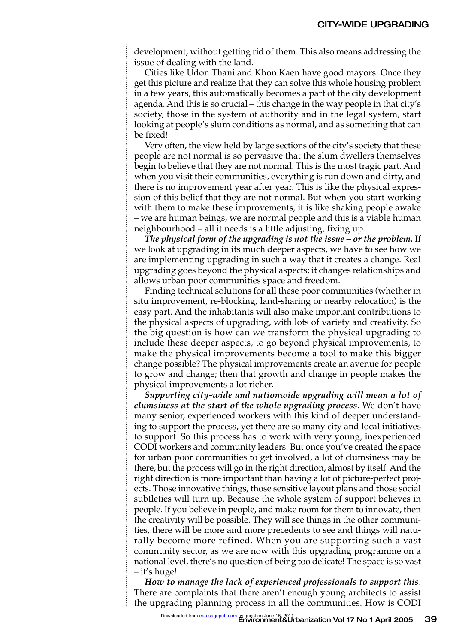development, without getting rid of them. This also means addressing the issue of dealing with the land.

Cities like Udon Thani and Khon Kaen have good mayors. Once they get this picture and realize that they can solve this whole housing problem in a few years, this automatically becomes a part of the city development agenda. And this is so crucial – this change in the way people in that city's society, those in the system of authority and in the legal system, start looking at people's slum conditions as normal, and as something that can be fixed!

Very often, the view held by large sections of the city's society that these people are not normal is so pervasive that the slum dwellers themselves begin to believe that they are not normal. This is the most tragic part. And when you visit their communities, everything is run down and dirty, and there is no improvement year after year. This is like the physical expression of this belief that they are not normal. But when you start working with them to make these improvements, it is like shaking people awake – we are human beings, we are normal people and this is a viable human neighbourhood – all it needs is a little adjusting, fixing up.

*The physical form of the upgrading is not the issue – or the problem.* If we look at upgrading in its much deeper aspects, we have to see how we are implementing upgrading in such a way that it creates a change. Real upgrading goes beyond the physical aspects; it changes relationships and allows urban poor communities space and freedom.

Finding technical solutions for all these poor communities (whether in situ improvement, re-blocking, land-sharing or nearby relocation) is the easy part. And the inhabitants will also make important contributions to the physical aspects of upgrading, with lots of variety and creativity. So the big question is how can we transform the physical upgrading to include these deeper aspects, to go beyond physical improvements, to make the physical improvements become a tool to make this bigger change possible? The physical improvements create an avenue for people to grow and change; then that growth and change in people makes the physical improvements a lot richer.

*Supporting city-wide and nationwide upgrading will mean a lot of clumsiness at the start of the whole upgrading process*. We don't have many senior, experienced workers with this kind of deeper understanding to support the process, yet there are so many city and local initiatives to support. So this process has to work with very young, inexperienced CODI workers and community leaders. But once you've created the space for urban poor communities to get involved, a lot of clumsiness may be there, but the process will go in the right direction, almost by itself. And the right direction is more important than having a lot of picture-perfect projects. Those innovative things, those sensitive layout plans and those social subtleties will turn up. Because the whole system of support believes in people. If you believe in people, and make room for them to innovate, then the creativity will be possible. They will see things in the other communities, there will be more and more precedents to see and things will naturally become more refined. When you are supporting such a vast community sector, as we are now with this upgrading programme on a national level, there's no question of being too delicate! The space is so vast – it's huge!

*How to manage the lack of experienced professionals to support this*. There are complaints that there aren't enough young architects to assist the upgrading planning process in all the communities. How is CODI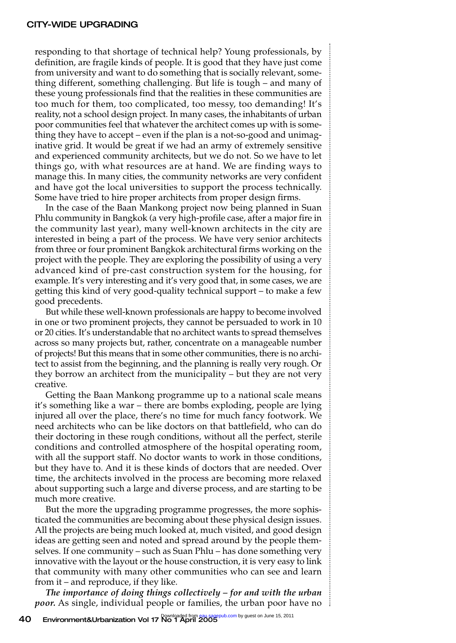responding to that shortage of technical help? Young professionals, by definition, are fragile kinds of people. It is good that they have just come from university and want to do something that is socially relevant, something different, something challenging. But life is tough – and many of these young professionals find that the realities in these communities are too much for them, too complicated, too messy, too demanding! It's reality, not a school design project. In many cases, the inhabitants of urban poor communities feel that whatever the architect comes up with is something they have to accept – even if the plan is a not-so-good and unimaginative grid. It would be great if we had an army of extremely sensitive and experienced community architects, but we do not. So we have to let things go, with what resources are at hand. We are finding ways to manage this. In many cities, the community networks are very confident and have got the local universities to support the process technically. Some have tried to hire proper architects from proper design firms.

In the case of the Baan Mankong project now being planned in Suan Phlu community in Bangkok (a very high-profile case, after a major fire in the community last year), many well-known architects in the city are interested in being a part of the process. We have very senior architects from three or four prominent Bangkok architectural firms working on the project with the people. They are exploring the possibility of using a very advanced kind of pre-cast construction system for the housing, for example. It's very interesting and it's very good that, in some cases, we are getting this kind of very good-quality technical support – to make a few good precedents.

But while these well-known professionals are happy to become involved in one or two prominent projects, they cannot be persuaded to work in 10 or 20 cities. It's understandable that no architect wants to spread themselves across so many projects but, rather, concentrate on a manageable number of projects! But this means that in some other communities, there is no architect to assist from the beginning, and the planning is really very rough. Or they borrow an architect from the municipality – but they are not very creative.

Getting the Baan Mankong programme up to a national scale means it's something like a war – there are bombs exploding, people are lying injured all over the place, there's no time for much fancy footwork. We need architects who can be like doctors on that battlefield, who can do their doctoring in these rough conditions, without all the perfect, sterile conditions and controlled atmosphere of the hospital operating room, with all the support staff. No doctor wants to work in those conditions, but they have to. And it is these kinds of doctors that are needed. Over time, the architects involved in the process are becoming more relaxed about supporting such a large and diverse process, and are starting to be much more creative.

But the more the upgrading programme progresses, the more sophisticated the communities are becoming about these physical design issues. All the projects are being much looked at, much visited, and good design ideas are getting seen and noted and spread around by the people themselves. If one community – such as Suan Phlu – has done something very innovative with the layout or the house construction, it is very easy to link that community with many other communities who can see and learn from it – and reproduce, if they like.

*The importance of doing things collectively – for and with the urban poor.* As single, individual people or families, the urban poor have no is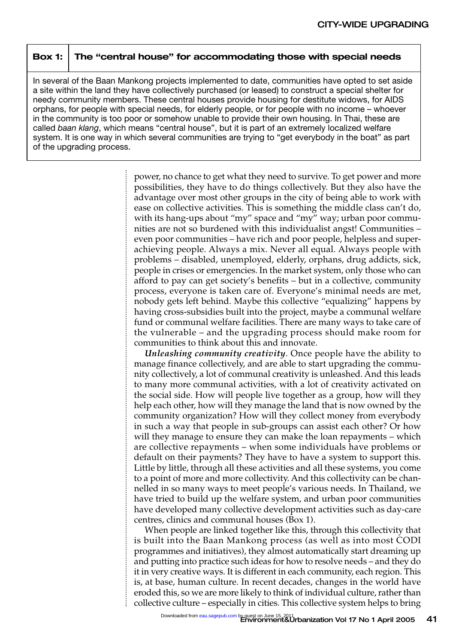#### **Box 1: The "central house" for accommodating those with special needs**

In several of the Baan Mankong projects implemented to date, communities have opted to set aside a site within the land they have collectively purchased (or leased) to construct a special shelter for needy community members. These central houses provide housing for destitute widows, for AIDS orphans, for people with special needs, for elderly people, or for people with no income – whoever in the community is too poor or somehow unable to provide their own housing. In Thai, these are called *baan klang*, which means "central house", but it is part of an extremely localized welfare system. It is one way in which several communities are trying to "get everybody in the boat" as part of the upgrading process.

> power, no chance to get what they need to survive. To get power and more possibilities, they have to do things collectively. But they also have the advantage over most other groups in the city of being able to work with ease on collective activities. This is something the middle class can't do, with its hang-ups about "my" space and "my" way; urban poor communities are not so burdened with this individualist angst! Communities – even poor communities – have rich and poor people, helpless and superachieving people. Always a mix. Never all equal. Always people with problems – disabled, unemployed, elderly, orphans, drug addicts, sick, people in crises or emergencies. In the market system, only those who can afford to pay can get society's benefits – but in a collective, community process, everyone is taken care of. Everyone's minimal needs are met, nobody gets left behind. Maybe this collective "equalizing" happens by having cross-subsidies built into the project, maybe a communal welfare fund or communal welfare facilities. There are many ways to take care of the vulnerable – and the upgrading process should make room for communities to think about this and innovate.

> *Unleashing community creativity*. Once people have the ability to manage finance collectively, and are able to start upgrading the community collectively, a lot of communal creativity is unleashed. And this leads to many more communal activities, with a lot of creativity activated on the social side. How will people live together as a group, how will they help each other, how will they manage the land that is now owned by the community organization? How will they collect money from everybody in such a way that people in sub-groups can assist each other? Or how will they manage to ensure they can make the loan repayments – which are collective repayments – when some individuals have problems or default on their payments? They have to have a system to support this. Little by little, through all these activities and all these systems, you come to a point of more and more collectivity. And this collectivity can be channelled in so many ways to meet people's various needs. In Thailand, we have tried to build up the welfare system, and urban poor communities have developed many collective development activities such as day-care centres, clinics and communal houses (Box 1).

> When people are linked together like this, through this collectivity that is built into the Baan Mankong process (as well as into most CODI programmes and initiatives), they almost automatically start dreaming up and putting into practice such ideas for how to resolve needs – and they do it in very creative ways. It is different in each community, each region. This is, at base, human culture. In recent decades, changes in the world have eroded this, so we are more likely to think of individual culture, rather than collective culture – especially in cities. This collective system helps to bring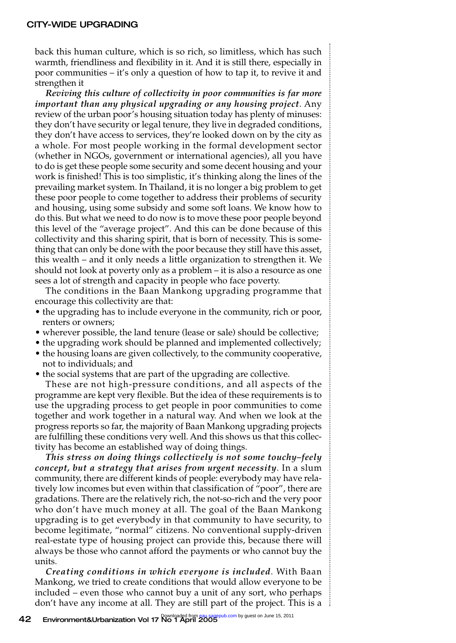back this human culture, which is so rich, so limitless, which has such warmth, friendliness and flexibility in it. And it is still there, especially in poor communities – it's only a question of how to tap it, to revive it and strengthen it

*Reviving this culture of collectivity in poor communities is far more important than any physical upgrading or any housing project*. Any review of the urban poor's housing situation today has plenty of minuses: they don't have security or legal tenure, they live in degraded conditions, they don't have access to services, they're looked down on by the city as a whole. For most people working in the formal development sector (whether in NGOs, government or international agencies), all you have to do is get these people some security and some decent housing and your work is finished! This is too simplistic, it's thinking along the lines of the prevailing market system. In Thailand, it is no longer a big problem to get these poor people to come together to address their problems of security and housing, using some subsidy and some soft loans. We know how to do this. But what we need to do now is to move these poor people beyond this level of the "average project". And this can be done because of this collectivity and this sharing spirit, that is born of necessity. This is something that can only be done with the poor because they still have this asset, this wealth – and it only needs a little organization to strengthen it. We should not look at poverty only as a problem – it is also a resource as one sees a lot of strength and capacity in people who face poverty.

The conditions in the Baan Mankong upgrading programme that encourage this collectivity are that:

- the upgrading has to include everyone in the community, rich or poor, renters or owners;
- wherever possible, the land tenure (lease or sale) should be collective;
- the upgrading work should be planned and implemented collectively;
- the housing loans are given collectively, to the community cooperative, not to individuals; and
- the social systems that are part of the upgrading are collective.

These are not high-pressure conditions, and all aspects of the programme are kept very flexible. But the idea of these requirements is to use the upgrading process to get people in poor communities to come together and work together in a natural way. And when we look at the progress reports so far, the majority of Baan Mankong upgrading projects are fulfilling these conditions very well. And this shows us that this collectivity has become an established way of doing things.

*This stress on doing things collectively is not some touchy–feely concept, but a strategy that arises from urgent necessity*. In a slum community, there are different kinds of people: everybody may have relatively low incomes but even within that classification of "poor", there are gradations. There are the relatively rich, the not-so-rich and the very poor who don't have much money at all. The goal of the Baan Mankong upgrading is to get everybody in that community to have security, to become legitimate, "normal" citizens. No conventional supply-driven real-estate type of housing project can provide this, because there will always be those who cannot afford the payments or who cannot buy the units.

*Creating conditions in which everyone is included*. With Baan Mankong, we tried to create conditions that would allow everyone to be included – even those who cannot buy a unit of any sort, who perhaps don't have any income at all. They are still part of the project. This is a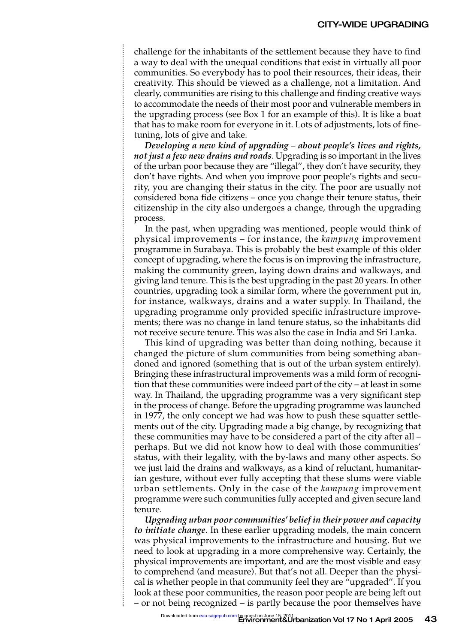#### CITY-WIDE UPGRADING

challenge for the inhabitants of the settlement because they have to find a way to deal with the unequal conditions that exist in virtually all poor communities. So everybody has to pool their resources, their ideas, their creativity. This should be viewed as a challenge, not a limitation. And clearly, communities are rising to this challenge and finding creative ways to accommodate the needs of their most poor and vulnerable members in the upgrading process (see Box 1 for an example of this). It is like a boat that has to make room for everyone in it. Lots of adjustments, lots of finetuning, lots of give and take.

*Developing a new kind of upgrading – about people's lives and rights, not just a few new drains and roads*. Upgrading is so important in the lives of the urban poor because they are "illegal", they don't have security, they don't have rights. And when you improve poor people's rights and security, you are changing their status in the city. The poor are usually not considered bona fide citizens – once you change their tenure status, their citizenship in the city also undergoes a change, through the upgrading process.

In the past, when upgrading was mentioned, people would think of physical improvements – for instance, the *kampung* improvement programme in Surabaya. This is probably the best example of this older concept of upgrading, where the focus is on improving the infrastructure, making the community green, laying down drains and walkways, and giving land tenure. This is the best upgrading in the past 20 years. In other countries, upgrading took a similar form, where the government put in, for instance, walkways, drains and a water supply. In Thailand, the upgrading programme only provided specific infrastructure improvements; there was no change in land tenure status, so the inhabitants did not receive secure tenure. This was also the case in India and Sri Lanka.

This kind of upgrading was better than doing nothing, because it changed the picture of slum communities from being something abandoned and ignored (something that is out of the urban system entirely). Bringing these infrastructural improvements was a mild form of recognition that these communities were indeed part of the city – at least in some way. In Thailand, the upgrading programme was a very significant step in the process of change. Before the upgrading programme was launched in 1977, the only concept we had was how to push these squatter settlements out of the city. Upgrading made a big change, by recognizing that these communities may have to be considered a part of the city after all – perhaps. But we did not know how to deal with those communities' status, with their legality, with the by-laws and many other aspects. So we just laid the drains and walkways, as a kind of reluctant, humanitarian gesture, without ever fully accepting that these slums were viable urban settlements. Only in the case of the *kampung* improvement programme were such communities fully accepted and given secure land tenure.

*Upgrading urban poor communities' belief in their power and capacity to initiate change*. In these earlier upgrading models, the main concern was physical improvements to the infrastructure and housing. But we need to look at upgrading in a more comprehensive way. Certainly, the physical improvements are important, and are the most visible and easy to comprehend (and measure). But that's not all. Deeper than the physical is whether people in that community feel they are "upgraded". If you look at these poor communities, the reason poor people are being left out – or not being recognized – is partly because the poor themselves have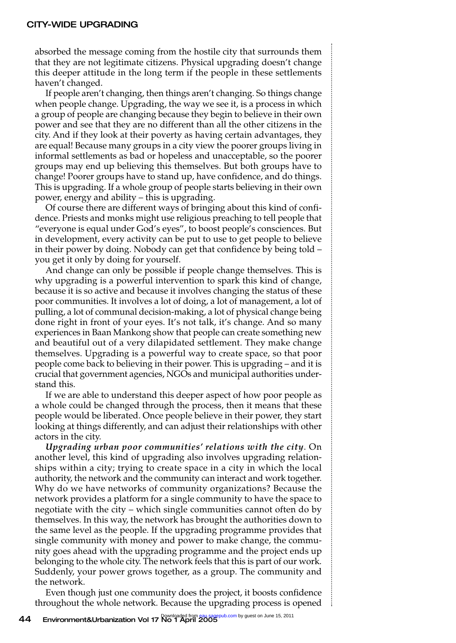absorbed the message coming from the hostile city that surrounds them that they are not legitimate citizens. Physical upgrading doesn't change this deeper attitude in the long term if the people in these settlements haven't changed.

If people aren't changing, then things aren't changing. So things change when people change. Upgrading, the way we see it, is a process in which a group of people are changing because they begin to believe in their own power and see that they are no different than all the other citizens in the city. And if they look at their poverty as having certain advantages, they are equal! Because many groups in a city view the poorer groups living in informal settlements as bad or hopeless and unacceptable, so the poorer groups may end up believing this themselves. But both groups have to change! Poorer groups have to stand up, have confidence, and do things. This is upgrading. If a whole group of people starts believing in their own power, energy and ability – this is upgrading.

Of course there are different ways of bringing about this kind of confidence. Priests and monks might use religious preaching to tell people that "everyone is equal under God's eyes", to boost people's consciences. But in development, every activity can be put to use to get people to believe in their power by doing. Nobody can get that confidence by being told – you get it only by doing for yourself.

And change can only be possible if people change themselves. This is why upgrading is a powerful intervention to spark this kind of change, because it is so active and because it involves changing the status of these poor communities. It involves a lot of doing, a lot of management, a lot of pulling, a lot of communal decision-making, a lot of physical change being done right in front of your eyes. It's not talk, it's change. And so many experiences in Baan Mankong show that people can create something new and beautiful out of a very dilapidated settlement. They make change themselves. Upgrading is a powerful way to create space, so that poor people come back to believing in their power. This is upgrading – and it is crucial that government agencies, NGOs and municipal authorities understand this.

If we are able to understand this deeper aspect of how poor people as a whole could be changed through the process, then it means that these people would be liberated. Once people believe in their power, they start looking at things differently, and can adjust their relationships with other actors in the city.

*Upgrading urban poor communities' relations with the city*. On another level, this kind of upgrading also involves upgrading relationships within a city; trying to create space in a city in which the local authority, the network and the community can interact and work together. Why do we have networks of community organizations? Because the network provides a platform for a single community to have the space to negotiate with the city – which single communities cannot often do by themselves. In this way, the network has brought the authorities down to the same level as the people. If the upgrading programme provides that single community with money and power to make change, the community goes ahead with the upgrading programme and the project ends up belonging to the whole city. The network feels that this is part of our work. Suddenly, your power grows together, as a group. The community and the network.

Even though just one community does the project, it boosts confidence throughout the whole network. Because the upgrading process is opened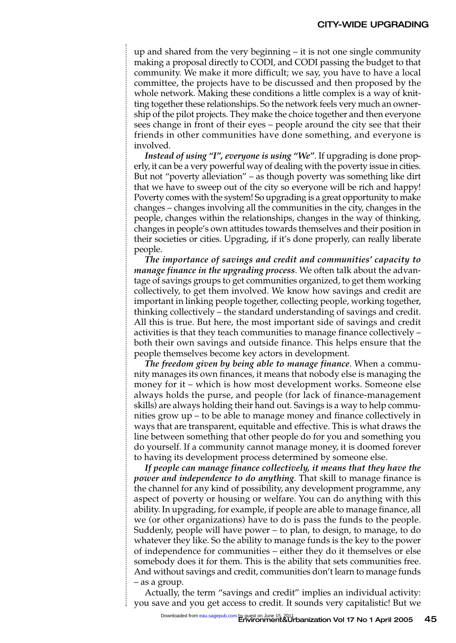up and shared from the very beginning – it is not one single community making a proposal directly to CODI, and CODI passing the budget to that community. We make it more difficult; we say, you have to have a local committee, the projects have to be discussed and then proposed by the whole network. Making these conditions a little complex is a way of knitting together these relationships. So the network feels very much an ownership of the pilot projects. They make the choice together and then everyone sees change in front of their eyes – people around the city see that their friends in other communities have done something, and everyone is involved.

*Instead of using "I", everyone is using "We"*. If upgrading is done properly, it can be a very powerful way of dealing with the poverty issue in cities. But not "poverty alleviation" – as though poverty was something like dirt that we have to sweep out of the city so everyone will be rich and happy! Poverty comes with the system! So upgrading is a great opportunity to make changes – changes involving all the communities in the city, changes in the people, changes within the relationships, changes in the way of thinking, changes in people's own attitudes towards themselves and their position in their societies or cities. Upgrading, if it's done properly, can really liberate people.

*The importance of savings and credit and communities' capacity to manage finance in the upgrading process*. We often talk about the advantage of savings groups to get communities organized, to get them working collectively, to get them involved. We know how savings and credit are important in linking people together, collecting people, working together, thinking collectively – the standard understanding of savings and credit. All this is true. But here, the most important side of savings and credit activities is that they teach communities to manage finance collectively – both their own savings and outside finance. This helps ensure that the people themselves become key actors in development.

*The freedom given by being able to manage finance*. When a community manages its own finances, it means that nobody else is managing the money for it – which is how most development works. Someone else always holds the purse, and people (for lack of finance-management skills) are always holding their hand out. Savings is a way to help communities grow up – to be able to manage money and finance collectively in ways that are transparent, equitable and effective. This is what draws the line between something that other people do for you and something you do yourself. If a community cannot manage money, it is doomed forever to having its development process determined by someone else.

*If people can manage finance collectively, it means that they have the power and independence to do anything*. That skill to manage finance is the channel for any kind of possibility, any development programme, any aspect of poverty or housing or welfare. You can do anything with this ability. In upgrading, for example, if people are able to manage finance, all we (or other organizations) have to do is pass the funds to the people. Suddenly, people will have power – to plan, to design, to manage, to do whatever they like. So the ability to manage funds is the key to the power of independence for communities – either they do it themselves or else somebody does it for them. This is the ability that sets communities free. And without savings and credit, communities don't learn to manage funds – as a group.

Actually, the term "savings and credit" implies an individual activity: you save and you get access to credit. It sounds very capitalistic! But we